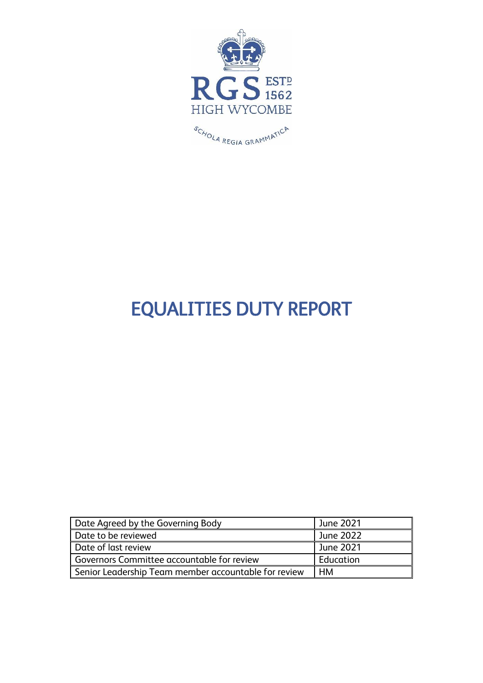

# EQUALITIES DUTY REPORT

| Date Agreed by the Governing Body                    | June 2021 |
|------------------------------------------------------|-----------|
| Date to be reviewed                                  | June 2022 |
| Date of last review                                  | June 2021 |
| Governors Committee accountable for review           | Education |
| Senior Leadership Team member accountable for review | нм        |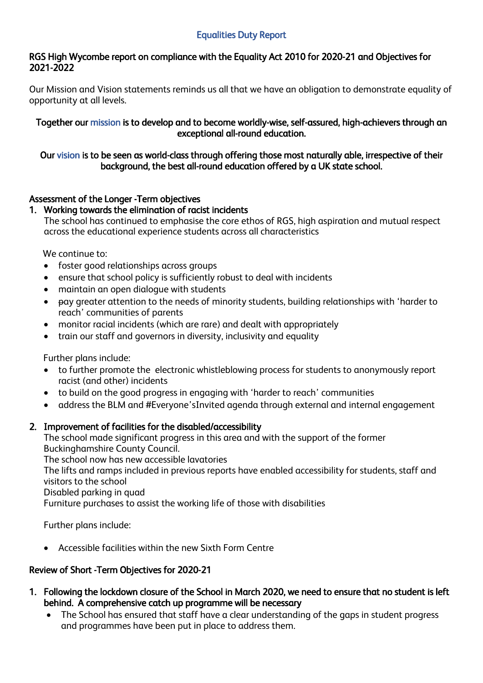## Equalities Duty Report

#### RGS High Wycombe report on compliance with the Equality Act 2010 for 2020-21 and Objectives for 2021-2022

Our Mission and Vision statements reminds us all that we have an obligation to demonstrate equality of opportunity at all levels.

Together our mission is to develop and to become worldly-wise, self-assured, high-achievers through an exceptional all-round education.

#### Our vision is to be seen as world-class through offering those most naturally able, irrespective of their background, the best all-round education offered by a UK state school.

## Assessment of the Longer -Term objectives

#### 1. Working towards the elimination of racist incidents

The school has continued to emphasise the core ethos of RGS, high aspiration and mutual respect across the educational experience students across all characteristics

We continue to:

- foster good relationships across groups
- ensure that school policy is sufficiently robust to deal with incidents
- maintain an open dialogue with students
- pay greater attention to the needs of minority students, building relationships with 'harder to reach' communities of parents
- monitor racial incidents (which are rare) and dealt with appropriately
- train our staff and governors in diversity, inclusivity and equality

Further plans include:

- to further promote the electronic whistleblowing process for students to anonymously report racist (and other) incidents
- to build on the good progress in engaging with 'harder to reach' communities
- address the BLM and #Everyone'sInvited agenda through external and internal engagement

## 2. Improvement of facilities for the disabled/accessibility

The school made significant progress in this area and with the support of the former Buckinghamshire County Council. The school now has new accessible lavatories The lifts and ramps included in previous reports have enabled accessibility for students, staff and visitors to the school Disabled parking in quad Furniture purchases to assist the working life of those with disabilities

Further plans include:

• Accessible facilities within the new Sixth Form Centre

## Review of Short -Term Objectives for 2020-21

- 1. Following the lockdown closure of the School in March 2020, we need to ensure that no student is left behind. A comprehensive catch up programme will be necessary
	- The School has ensured that staff have a clear understanding of the gaps in student progress and programmes have been put in place to address them.